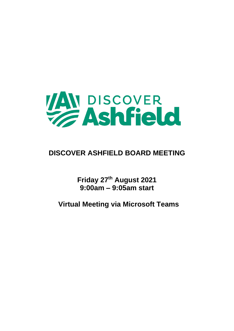

# **DISCOVER ASHFIELD BOARD MEETING**

**Friday 27th August 2021 9:00am – 9:05am start**

**Virtual Meeting via Microsoft Teams**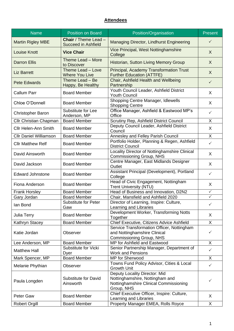# **Attendees**

| <b>Name</b>                   | <b>Position on Board</b>                                                               | Position/Organisation                                                                                                    | <b>Present</b> |
|-------------------------------|----------------------------------------------------------------------------------------|--------------------------------------------------------------------------------------------------------------------------|----------------|
| <b>Martin Rigley MBE</b>      | <b>Chair</b> / Theme Lead -<br><b>Succeed in Ashfield</b>                              | Managing Director, Lindhurst Engineering                                                                                 | $\checkmark$   |
| <b>Louise Knott</b>           | <b>Vice Chair</b>                                                                      | Vice Principal, West Nottinghamshire<br>College                                                                          | X              |
| <b>Darron Ellis</b>           | Theme Lead - More<br>to Discover                                                       | Historian, Sutton Living Memory Group                                                                                    | X              |
| <b>Liz Barrett</b>            | Theme Lead - Love<br><b>Where You Live</b>                                             | <b>Principal, Academy Transformation Trust</b><br><b>Further Education (ATTFE)</b>                                       | $\sf X$        |
| <b>Pete Edwards</b>           | Theme Lead - Be<br>Happy, Be Healthy                                                   | Chair, Ashfield Health and Wellbeing<br>Partnership                                                                      | $\checkmark$   |
| <b>Callum Parr</b>            | Youth Council Leader, Ashfield District<br><b>Board Member</b><br><b>Youth Council</b> |                                                                                                                          | X              |
| Chloe O'Donnell               | <b>Board Member</b>                                                                    | Shopping Centre Manager, Idlewells<br><b>Shopping Centre</b>                                                             | X              |
| Christopher Baron             | Substitute for Lee<br>Anderson, MP                                                     | Office Manager, Ashfield & Eastwood MP's<br>Office                                                                       | $\checkmark$   |
| Cllr Christian Chapman        | <b>Board Member</b>                                                                    | Scrutiny Rep, Ashfield District Council                                                                                  | X              |
| <b>Cllr Helen-Ann Smith</b>   | <b>Board Member</b>                                                                    | Deputy Council Leader, Ashfield District<br>Council                                                                      | X              |
| <b>Cllr Daniel Williamson</b> | <b>Board Member</b>                                                                    | Annesley and Felley Parish Council                                                                                       | X              |
| <b>Cllr Matthew Relf</b>      | <b>Board Member</b>                                                                    | Portfolio Holder, Planning & Regen, Ashfield<br><b>District Council</b>                                                  | $\checkmark$   |
| David Ainsworth               | <b>Board Member</b>                                                                    | Locality Director of Nottinghamshire Clinical<br>Commissioning Group, NHS                                                | X              |
| David Jackson                 | <b>Board Member</b>                                                                    | Centre Manager, East Midlands Designer<br>Outlet                                                                         | X              |
| <b>Edward Johnstone</b>       | <b>Board Member</b>                                                                    | Assistant Principal (Development), Portland<br>College                                                                   | $\checkmark$   |
| Fiona Anderson                | <b>Board Member</b>                                                                    | Head of Civic Engagement, Nottingham<br><b>Trent University (NTU)</b>                                                    | X              |
| <b>Frank Horsley</b>          | <b>Board Member</b>                                                                    | Head of Business and Innovation, D2N2                                                                                    | ✓              |
| Gary Jordan                   | <b>Board Member</b>                                                                    | Chair, Mansfield and Ashfield 2020                                                                                       | $\checkmark$   |
| lan Bond                      | <b>Substitute for Peter</b><br>Gaw                                                     | Director of Learning, Inspire: Culture,<br>Learning and Libraries                                                        | ✓              |
| Julia Terry                   | <b>Board Member</b>                                                                    | Development Worker, Transforming Notts<br>Together                                                                       | X              |
| Kathryn Stacey                | <b>Board Member</b>                                                                    | Chief Executive, Citizens Advice Ashfield                                                                                | X              |
| Katie Jordan                  | Observer                                                                               | Service Transformation Officer, Nottingham<br>and Nottinghamshire Clinical<br>Commissioning Group, NHS                   | $\checkmark$   |
| Lee Anderson, MP              | <b>Board Member</b>                                                                    | MP for Ashfield and Eastwood                                                                                             | X              |
| <b>Matthew Hall</b>           | Substitute for Vicki<br>Dyer                                                           | Senior Partnership Manager, Department of<br><b>Work and Pensions</b>                                                    | $\checkmark$   |
| Mark Spencer, MP              | <b>Board Member</b>                                                                    | MP for Sherwood                                                                                                          | X.             |
| Melanie Phythian              | Observer                                                                               | Towns Fund Policy Advisor, Cities & Local<br><b>Growth Unit</b>                                                          | $\checkmark$   |
| Paula Longden                 | <b>Substitute for David</b><br>Ainsworth                                               | Deputy Locality Director: Mid<br>Nottinghamshire, Nottingham and<br>Nottinghamshire Clinical Commissioning<br>Group, NHS | ✓              |
| <b>Peter Gaw</b>              | <b>Board Member</b>                                                                    | Chief Executive Officer, Inspire: Culture,<br>Learning and Libraries                                                     | X              |
| <b>Robert Orgill</b>          | <b>Board Member</b>                                                                    | Property Manager EMEA, Rolls Royce                                                                                       | X              |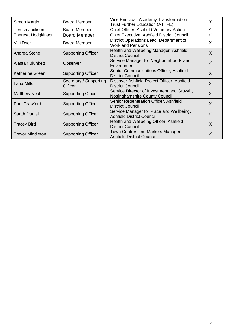| Simon Martin             | <b>Board Member</b>       | Vice Principal, Academy Transformation            | X            |  |
|--------------------------|---------------------------|---------------------------------------------------|--------------|--|
|                          |                           | <b>Trust Further Education (ATTFE)</b>            |              |  |
| Teresa Jackson           | <b>Board Member</b>       | Chief Officer, Ashfield Voluntary Action          | $\checkmark$ |  |
| Theresa Hodgkinson       | <b>Board Member</b>       | <b>Chief Executive, Ashfield District Council</b> | $\checkmark$ |  |
|                          |                           | District Operations Lead, Department of           |              |  |
| Viki Dyer                | <b>Board Member</b>       | <b>Work and Pensions</b>                          | X            |  |
| Andrea Stone             | <b>Supporting Officer</b> | Health and Wellbeing Manager, Ashfield            | $\sf X$      |  |
|                          |                           | <b>District Council</b>                           |              |  |
| <b>Alastair Blunkett</b> | Observer                  | Service Manager for Neighbourhoods and            | $\checkmark$ |  |
|                          |                           | Environment                                       |              |  |
| Katherine Green          | <b>Supporting Officer</b> | Senior Communications Officer, Ashfield           |              |  |
|                          |                           | <b>District Council</b>                           | X            |  |
|                          | Secretary / Supporting    | Discover Ashfield Project Officer, Ashfield       | X            |  |
| Lana Mills               | Officer                   | <b>District Council</b>                           |              |  |
| <b>Matthew Neal</b>      | <b>Supporting Officer</b> | Service Director of Investment and Growth,        | $\sf X$      |  |
|                          |                           | Nottinghamshire County Council                    |              |  |
| <b>Paul Crawford</b>     |                           | Senior Regeneration Officer, Ashfield             | X            |  |
|                          | <b>Supporting Officer</b> | <b>District Council</b>                           |              |  |
| <b>Sarah Daniel</b>      | <b>Supporting Officer</b> | Service Manager for Place and Wellbeing,          | $\checkmark$ |  |
|                          |                           | <b>Ashfield District Council</b>                  |              |  |
|                          | <b>Supporting Officer</b> | Health and Wellbeing Officer, Ashfield            | X            |  |
| <b>Tracey Bird</b>       |                           | <b>District Council</b>                           |              |  |
| <b>Trevor Middleton</b>  | <b>Supporting Officer</b> | Town Centres and Markets Manager,                 | ✓            |  |
|                          |                           | <b>Ashfield District Council</b>                  |              |  |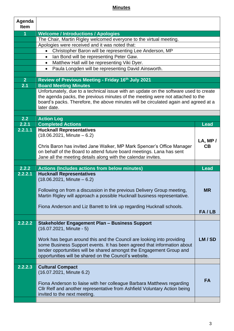# **Minutes**

| Agenda<br><b>Item</b> |                                                                                                                                                                                                                                                                                    |             |
|-----------------------|------------------------------------------------------------------------------------------------------------------------------------------------------------------------------------------------------------------------------------------------------------------------------------|-------------|
| 1                     | <b>Welcome / Introductions / Apologies</b>                                                                                                                                                                                                                                         |             |
|                       | The Chair, Martin Rigley welcomed everyone to the virtual meeting.                                                                                                                                                                                                                 |             |
|                       | Apologies were received and it was noted that:                                                                                                                                                                                                                                     |             |
|                       | Christopher Baron will be representing Lee Anderson, MP                                                                                                                                                                                                                            |             |
|                       | Ian Bond will be representing Peter Gaw.<br>$\bullet$                                                                                                                                                                                                                              |             |
|                       | Matthew Hall will be representing Viki Dyer.<br>$\bullet$                                                                                                                                                                                                                          |             |
|                       | Paula Longden will be representing David Ainsworth.<br>$\bullet$                                                                                                                                                                                                                   |             |
|                       |                                                                                                                                                                                                                                                                                    |             |
| 2 <sup>1</sup>        | Review of Previous Meeting - Friday 16th July 2021                                                                                                                                                                                                                                 |             |
| 2.1                   | <b>Board Meeting Minutes</b>                                                                                                                                                                                                                                                       |             |
|                       | Unfortunately, due to a technical issue with an update on the software used to create                                                                                                                                                                                              |             |
|                       | the agenda packs, the previous minutes of the meeting were not attached to the                                                                                                                                                                                                     |             |
|                       | board's packs. Therefore, the above minutes will be circulated again and agreed at a                                                                                                                                                                                               |             |
|                       | later date.                                                                                                                                                                                                                                                                        |             |
|                       |                                                                                                                                                                                                                                                                                    |             |
| 2.2                   | <b>Action Log</b>                                                                                                                                                                                                                                                                  |             |
| 2.2.1                 | <b>Completed Actions</b>                                                                                                                                                                                                                                                           | <b>Lead</b> |
| 2.2.1.1               | <b>Hucknall Representatives</b>                                                                                                                                                                                                                                                    |             |
|                       | $(18.06.2021,$ Minute $-6.2)$                                                                                                                                                                                                                                                      | LA, MP/     |
|                       | Chris Baron has invited Jane Walker, MP Mark Spencer's Office Manager                                                                                                                                                                                                              | CB          |
|                       | on behalf of the Board to attend future board meetings. Lana has sent                                                                                                                                                                                                              |             |
|                       |                                                                                                                                                                                                                                                                                    |             |
|                       | Jane all the meeting details along with the calendar invites.                                                                                                                                                                                                                      |             |
|                       |                                                                                                                                                                                                                                                                                    |             |
| 2.2.2                 | <b>Actions (Includes actions from below minutes)</b>                                                                                                                                                                                                                               | <b>Lead</b> |
| 2.2.2.1               | <b>Hucknall Representatives</b><br>$(18.06.2021,$ Minute $-6.2)$                                                                                                                                                                                                                   |             |
|                       | Following on from a discussion in the previous Delivery Group meeting,<br>Martin Rigley will approach a possible Hucknall business representative.                                                                                                                                 | <b>MR</b>   |
|                       | Fiona Anderson and Liz Barrett to link up regarding Hucknall schools.                                                                                                                                                                                                              | FA/LB       |
|                       |                                                                                                                                                                                                                                                                                    |             |
| 2.2.2.2               | <b>Stakeholder Engagement Plan - Business Support</b><br>(16.07.2021, Minute - 5)                                                                                                                                                                                                  |             |
|                       | Work has begun around this and the Council are looking into providing<br>some Business Support events. It has been agreed that information about<br>tender opportunities will be shared amongst the Engagement Group and<br>opportunities will be shared on the Council's website. | LM/SD       |
|                       |                                                                                                                                                                                                                                                                                    |             |
| 2.2.2.3               | <b>Cultural Compact</b><br>(16.07.2021, Minute 6.2)                                                                                                                                                                                                                                |             |
|                       | Fiona Anderson to liaise with her colleague Barbara Matthews regarding<br>Cllr Relf and another representative from Ashfield Voluntary Action being<br>invited to the next meeting.                                                                                                | <b>FA</b>   |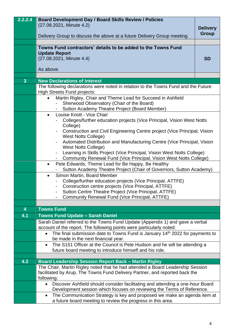| (27.08.2021, Minute 4.2)<br><b>Delivery</b><br><b>Group</b><br>Delivery Group to discuss the above at a future Delivery Group meeting.<br>Towns Fund contractors' details to be added to the Towns Fund<br><b>Update Report</b><br>(27.08.2021, Minute 4.4)<br><b>SD</b><br>As above.<br>$\overline{3}$<br><b>New Declarations of Interest</b><br>The following declarations were noted in relation to the Towns Fund and the Future<br><b>High Streets Fund projects:</b><br>Martin Rigley, Chair and Theme Lead for Succeed in Ashfield<br>$\bullet$ |                                                                           |  |  |
|--------------------------------------------------------------------------------------------------------------------------------------------------------------------------------------------------------------------------------------------------------------------------------------------------------------------------------------------------------------------------------------------------------------------------------------------------------------------------------------------------------------------------------------------------------|---------------------------------------------------------------------------|--|--|
|                                                                                                                                                                                                                                                                                                                                                                                                                                                                                                                                                        |                                                                           |  |  |
|                                                                                                                                                                                                                                                                                                                                                                                                                                                                                                                                                        |                                                                           |  |  |
|                                                                                                                                                                                                                                                                                                                                                                                                                                                                                                                                                        |                                                                           |  |  |
|                                                                                                                                                                                                                                                                                                                                                                                                                                                                                                                                                        |                                                                           |  |  |
|                                                                                                                                                                                                                                                                                                                                                                                                                                                                                                                                                        |                                                                           |  |  |
|                                                                                                                                                                                                                                                                                                                                                                                                                                                                                                                                                        |                                                                           |  |  |
|                                                                                                                                                                                                                                                                                                                                                                                                                                                                                                                                                        |                                                                           |  |  |
|                                                                                                                                                                                                                                                                                                                                                                                                                                                                                                                                                        |                                                                           |  |  |
|                                                                                                                                                                                                                                                                                                                                                                                                                                                                                                                                                        |                                                                           |  |  |
|                                                                                                                                                                                                                                                                                                                                                                                                                                                                                                                                                        |                                                                           |  |  |
|                                                                                                                                                                                                                                                                                                                                                                                                                                                                                                                                                        |                                                                           |  |  |
|                                                                                                                                                                                                                                                                                                                                                                                                                                                                                                                                                        |                                                                           |  |  |
|                                                                                                                                                                                                                                                                                                                                                                                                                                                                                                                                                        |                                                                           |  |  |
| Sutton Academy Theatre Project (Board Member)                                                                                                                                                                                                                                                                                                                                                                                                                                                                                                          | Sherwood Observatory (Chair of the Board)                                 |  |  |
| Louise Knott - Vice Chair<br>$\bullet$                                                                                                                                                                                                                                                                                                                                                                                                                                                                                                                 |                                                                           |  |  |
| Colleges/further education projects (Vice Principal, Vision West Notts                                                                                                                                                                                                                                                                                                                                                                                                                                                                                 |                                                                           |  |  |
| College)                                                                                                                                                                                                                                                                                                                                                                                                                                                                                                                                               |                                                                           |  |  |
|                                                                                                                                                                                                                                                                                                                                                                                                                                                                                                                                                        | Construction and Civil Engineering Centre project (Vice Principal, Vision |  |  |
| <b>West Notts College)</b>                                                                                                                                                                                                                                                                                                                                                                                                                                                                                                                             |                                                                           |  |  |
| $\qquad \qquad \blacksquare$                                                                                                                                                                                                                                                                                                                                                                                                                                                                                                                           | Automated Distribution and Manufacturing Centre (Vice Principal, Vision   |  |  |
|                                                                                                                                                                                                                                                                                                                                                                                                                                                                                                                                                        | <b>West Notts College)</b>                                                |  |  |
| ۰.                                                                                                                                                                                                                                                                                                                                                                                                                                                                                                                                                     | Learning in Skills Project (Vice Principal, Vision West Notts College)    |  |  |
|                                                                                                                                                                                                                                                                                                                                                                                                                                                                                                                                                        | Community Renewal Fund (Vice Principal, Vision West Notts College)        |  |  |
| Pete Edwards, Theme Lead for Be Happy, Be Healthy<br>$\bullet$<br>Sutton Academy Theatre Project (Chair of Governors, Sutton Academy)                                                                                                                                                                                                                                                                                                                                                                                                                  |                                                                           |  |  |
| Simon Martin, Board Member<br>$\bullet$                                                                                                                                                                                                                                                                                                                                                                                                                                                                                                                |                                                                           |  |  |
| College/further education projects (Vice Principal, ATTFE)                                                                                                                                                                                                                                                                                                                                                                                                                                                                                             |                                                                           |  |  |
| Construction centre projects (Vice Principal, ATTFE)<br>$\blacksquare$                                                                                                                                                                                                                                                                                                                                                                                                                                                                                 |                                                                           |  |  |
|                                                                                                                                                                                                                                                                                                                                                                                                                                                                                                                                                        | Sutton Centre Theatre Project (Vice Principal, ATTFE)                     |  |  |
| <b>Community Renewal Fund (Vice Principal, ATTFE)</b>                                                                                                                                                                                                                                                                                                                                                                                                                                                                                                  |                                                                           |  |  |
| <b>Towns Fund</b><br>$\overline{\mathbf{4}}$                                                                                                                                                                                                                                                                                                                                                                                                                                                                                                           |                                                                           |  |  |
| 4.1<br><b>Towns Fund Update - Sarah Daniel</b>                                                                                                                                                                                                                                                                                                                                                                                                                                                                                                         |                                                                           |  |  |
|                                                                                                                                                                                                                                                                                                                                                                                                                                                                                                                                                        |                                                                           |  |  |
| Sarah Daniel referred to the Towns Fund Update (Appendix 1) and gave a verbal<br>account of the report. The following points were particularly noted:                                                                                                                                                                                                                                                                                                                                                                                                  |                                                                           |  |  |
| The final submission date to Towns Fund is January 14 <sup>th</sup> 2022 for payments to                                                                                                                                                                                                                                                                                                                                                                                                                                                               |                                                                           |  |  |
| be made in the next financial year.                                                                                                                                                                                                                                                                                                                                                                                                                                                                                                                    |                                                                           |  |  |
| The S151 Officer at the Council is Pete Hudson and he will be attending a<br>$\bullet$                                                                                                                                                                                                                                                                                                                                                                                                                                                                 |                                                                           |  |  |
| future board meeting to introduce himself and his role.                                                                                                                                                                                                                                                                                                                                                                                                                                                                                                |                                                                           |  |  |
|                                                                                                                                                                                                                                                                                                                                                                                                                                                                                                                                                        |                                                                           |  |  |
| 4.2<br><b>Board Leadership Session Report Back - Martin Rigley</b>                                                                                                                                                                                                                                                                                                                                                                                                                                                                                     |                                                                           |  |  |
| The Chair, Martin Rigley noted that he had attended a Board Leadership Session                                                                                                                                                                                                                                                                                                                                                                                                                                                                         |                                                                           |  |  |
|                                                                                                                                                                                                                                                                                                                                                                                                                                                                                                                                                        |                                                                           |  |  |
| facilitated by Arup, The Towns Fund Delivery Partner, and reported back the                                                                                                                                                                                                                                                                                                                                                                                                                                                                            |                                                                           |  |  |
| following:                                                                                                                                                                                                                                                                                                                                                                                                                                                                                                                                             |                                                                           |  |  |
| Discover Ashfield should consider facilitating and attending a one-hour Board<br>$\bullet$                                                                                                                                                                                                                                                                                                                                                                                                                                                             |                                                                           |  |  |
| Development session which focuses on reviewing the Terms of Reference.<br>The Communication Strategy is key and proposed we make an agenda item at<br>$\bullet$                                                                                                                                                                                                                                                                                                                                                                                        |                                                                           |  |  |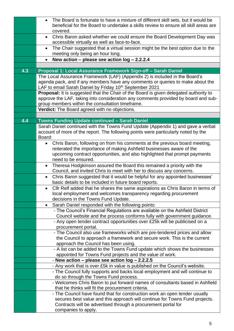|     | The Board is fortunate to have a mixture of different skill sets, but it would be<br>$\bullet$                                                           |
|-----|----------------------------------------------------------------------------------------------------------------------------------------------------------|
|     | beneficial for the Board to undertake a skills review to ensure all skill areas are<br>covered.                                                          |
|     | Chris Baron asked whether we could ensure the Board Development Day was<br>$\bullet$                                                                     |
|     | accessible virtually as well as face-to-face.                                                                                                            |
|     | The Chair suggested that a virtual session might be the best option due to the<br>$\bullet$                                                              |
|     | meeting only being an hour long.                                                                                                                         |
|     | New action - please see action log - 2.2.2.4                                                                                                             |
| 4.3 | Proposal 1: Local Assurance Framework Sign-off - Sarah Daniel                                                                                            |
|     | The Local Assurance Framework (LAF) (Appendix 2) is included in the Board's                                                                              |
|     | agenda pack, and if any members have any comments or queries to make about the                                                                           |
|     | LAF to email Sarah Daniel by Friday 10 <sup>th</sup> September 2021                                                                                      |
|     | Proposal: It is suggested that the Chair of the Board is given delegated authority to                                                                    |
|     | approve the LAF, taking into consideration any comments provided by board and sub-<br>group members within the consultation timeframe.                   |
|     | Verdict: The Board agreed with no objections.                                                                                                            |
|     |                                                                                                                                                          |
| 4.4 | Towns Funding Update continued - Sarah Daniel                                                                                                            |
|     | Sarah Daniel continued with the Towns Fund Update (Appendix 1) and gave a verbal                                                                         |
|     | account of more of the report. The following points were particularly noted by the<br>Board:                                                             |
|     | Chris Baron, following on from his comments at the previous board meeting,<br>$\bullet$                                                                  |
|     | reiterated the importance of making Ashfield businesses aware of the                                                                                     |
|     | upcoming contract opportunities, and also highlighted that prompt payments                                                                               |
|     | need to be ensured.                                                                                                                                      |
|     | Theresa Hodgkinson assured the Board this remained a priority with the<br>$\bullet$                                                                      |
|     | Council, and invited Chris to meet with her to discuss any concerns.                                                                                     |
|     | Chris Baron suggested that it would be helpful for any appointed businesses'<br>$\bullet$<br>basic details to be included in future board reports.       |
|     | Cllr Relf added that he shares the same aspirations as Chris Baron in terms of                                                                           |
|     | local employment and welcomes transparency regarding procurement                                                                                         |
|     | decisions in the Towns Fund Update.                                                                                                                      |
|     | Sarah Daniel responded with the following points:<br>$\bullet$                                                                                           |
|     | - The Council's Financial Regulations are available on the Ashfield District<br>Council website and the process conforms fully with government guidance. |
|     | - Any open tender contract opportunities over £25k will be publicised on a                                                                               |
|     | procurement portal.                                                                                                                                      |
|     | - The Council also use frameworks which are pre-tendered prices and allow                                                                                |
|     | the Council to approach a framework and secure work. This is the current                                                                                 |
|     | approach the Council has been using.                                                                                                                     |
|     | - A list can be added to the Towns Fund update which shows the businesses<br>appointed for Towns Fund projects and the value of work.                    |
|     | - New action – please see action log – 2.2.2.5                                                                                                           |
|     | - Any work that is over £5k in value is published on the Council's website.                                                                              |
|     | - The Council fully supports and backs local employment and will continue to                                                                             |
|     | do so through the Towns Fund process.                                                                                                                    |
|     | - Welcomes Chris Baron to put forward names of consultants based in Ashfield<br>that he thinks will fit the procurement criteria.                        |
|     | - The Council have found that for construction work an open tender usually                                                                               |
|     | secures best value and this approach will continue for Towns Fund projects.                                                                              |
|     | Contracts will be advertised through a procurement portal for                                                                                            |
|     | companies to apply.                                                                                                                                      |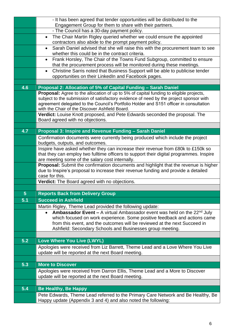|                | - It has been agreed that tender opportunities will be distributed to the                                                                                                               |
|----------------|-----------------------------------------------------------------------------------------------------------------------------------------------------------------------------------------|
|                | Engagement Group for them to share with their partners.                                                                                                                                 |
|                | - The Council has a 30-day payment policy.                                                                                                                                              |
|                | The Chair Martin Rigley queried whether we could ensure the appointed<br>$\bullet$<br>contractors also abide to the prompt payment policy.                                              |
|                | Sarah Daniel advised that she will raise this with the procurement team to see<br>$\bullet$                                                                                             |
|                | whether this could be in the contract criteria.                                                                                                                                         |
|                | Frank Horsley, The Chair of the Towns Fund Subgroup, committed to ensure<br>$\bullet$                                                                                                   |
|                | that the procurement process will be monitored during these meetings.                                                                                                                   |
|                | Christine Sarris noted that Business Support will be able to publicise tender<br>$\bullet$                                                                                              |
|                | opportunities on their LinkedIn and Facebook pages.                                                                                                                                     |
|                |                                                                                                                                                                                         |
| 4.6            | Proposal 2: Allocation of 5% of Capital Funding - Sarah Daniel                                                                                                                          |
|                | <b>Proposal:</b> Agree to the allocation of up to 5% of capital funding to eligible projects,<br>subject to the submission of satisfactory evidence of need by the project sponsor with |
|                | agreement delegated to the Council's Portfolio Holder and S151 officer in consultation                                                                                                  |
|                | with the Chair of the Discover Ashfield Board.                                                                                                                                          |
|                | Verdict: Louise Knott proposed, and Pete Edwards seconded the proposal. The                                                                                                             |
|                | Board agreed with no objections.                                                                                                                                                        |
| 4.7            | Proposal 3: Inspire and Revenue Funding - Sarah Daniel                                                                                                                                  |
|                | Confirmation documents were currently being produced which include the project                                                                                                          |
|                | budgets, outputs, and outcomes.                                                                                                                                                         |
|                | Inspire have asked whether they can increase their revenue from £80k to £150k so                                                                                                        |
|                | that they can employ two fulltime officers to support their digital programmes. Inspire                                                                                                 |
|                | are meeting some of the salary cost internally.                                                                                                                                         |
|                | Proposal: Submit the confirmation documents and highlight that the revenue is higher                                                                                                    |
|                | due to Inspire's proposal to increase their revenue funding and provide a detailed<br>case for this.                                                                                    |
|                | Verdict: The Board agreed with no objections.                                                                                                                                           |
|                |                                                                                                                                                                                         |
| $5\phantom{1}$ | <b>Reports Back from Delivery Group</b>                                                                                                                                                 |
| 5.1            | <b>Succeed in Ashfield</b>                                                                                                                                                              |
|                | Martin Rigley, Theme Lead provided the following update:                                                                                                                                |
|                | <b>Ambassador Event –</b> A virtual Ambassador event was held on the $22^{nd}$ July<br>$\bullet$                                                                                        |
|                | which focused on work experience. Some positive feedback and actions came                                                                                                               |
|                | from this event, and the outcomes will be reviewed at the next Succeed in                                                                                                               |
|                | Ashfield: Secondary Schools and Businesses group meeting.                                                                                                                               |
| 5.2            | Love Where You Live (LWYL)                                                                                                                                                              |
|                | Apologies were received from Liz Barrett, Theme Lead and a Love Where You Live                                                                                                          |
|                | update will be reported at the next Board meeting.                                                                                                                                      |
|                |                                                                                                                                                                                         |
| 5.3            | <b>More to Discover</b>                                                                                                                                                                 |
|                | Apologies were received from Darron Ellis, Theme Lead and a More to Discover                                                                                                            |
|                | update will be reported at the next Board meeting.                                                                                                                                      |
|                |                                                                                                                                                                                         |
| 5.4            | <b>Be Healthy, Be Happy</b>                                                                                                                                                             |
|                | Pete Edwards, Theme Lead referred to the Primary Care Network and Be Healthy, Be                                                                                                        |
|                | Happy update (Appendix 3 and 4) and also noted the following:                                                                                                                           |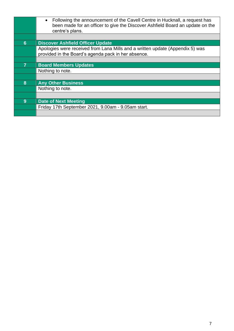|                | Following the announcement of the Cavell Centre in Hucknall, a request has<br>$\bullet$<br>been made for an officer to give the Discover Ashfield Board an update on the<br>centre's plans. |
|----------------|---------------------------------------------------------------------------------------------------------------------------------------------------------------------------------------------|
|                |                                                                                                                                                                                             |
| 6              | <b>Discover Ashfield Officer Update</b>                                                                                                                                                     |
|                | Apologies were received from Lana Mills and a written update (Appendix 5) was<br>provided in the Board's agenda pack in her absence.                                                        |
|                |                                                                                                                                                                                             |
| $\overline{7}$ | <b>Board Members Updates</b>                                                                                                                                                                |
|                | Nothing to note.                                                                                                                                                                            |
|                |                                                                                                                                                                                             |
| 8              | <b>Any Other Business</b>                                                                                                                                                                   |
|                | Nothing to note.                                                                                                                                                                            |
|                |                                                                                                                                                                                             |
| 9              | <b>Date of Next Meeting</b>                                                                                                                                                                 |
|                | Friday 17th September 2021, 9.00am - 9.05am start.                                                                                                                                          |
|                |                                                                                                                                                                                             |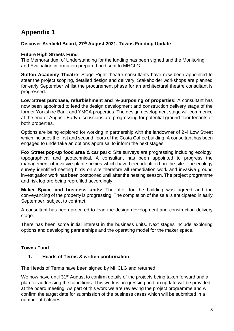# **Appendix 1**

# **Discover Ashfield Board, 27th August 2021, Towns Funding Update**

# **Future High Streets Fund**

The Memorandum of Understanding for the funding has been signed and the Monitoring and Evaluation information prepared and sent to MHCLG.

**Sutton Academy Theatre**: Stage Right theatre consultants have now been appointed to steer the project scoping, detailed design and delivery. Stakeholder workshops are planned for early September whilst the procurement phase for an architectural theatre consultant is progressed.

**Low Street purchase, refurbishment and re-purposing of properties:** A consultant has now been appointed to lead the design development and construction delivery stage of the former Yorkshire Bank and YMCA properties. The design development stage will commence at the end of August. Early discussions are progressing for potential ground floor tenants of both properties.

Options are being explored for working in partnership with the landowner of 2-4 Low Street which includes the first and second floors of the Costa Coffee building. A consultant has been engaged to undertake an options appraisal to inform the next stages.

**Fox Street pop-up food area & car park:** Site surveys are progressing including ecology, topographical and geotechnical. A consultant has been appointed to progress the management of invasive plant species which have been identified on the site. The ecology survey identified nesting birds on site therefore all remediation work and invasive ground investigation work has been postponed until after the nesting season. The project programme and risk log are being reprofiled accordingly.

**Maker Space and business units:** The offer for the building was agreed and the conveyancing of the property is progressing. The completion of the sale is anticipated in early September, subject to contract.

A consultant has been procured to lead the design development and construction delivery stage.

There has been some initial interest in the business units. Next stages include exploring options and developing partnerships and the operating model for the maker space.

# **Towns Fund**

# **1. Heads of Terms & written confirmation**

The Heads of Terms have been signed by MHCLG and returned.

We now have until 31<sup>st</sup> August to confirm details of the projects being taken forward and a plan for addressing the conditions. This work is progressing and an update will be provided at the board meeting. As part of this work we are reviewing the project programme and will confirm the target date for submission of the business cases which will be submitted in a number of batches.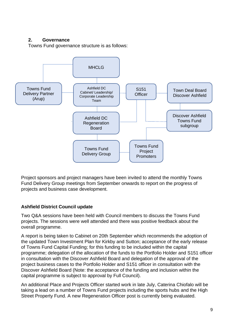# **2. Governance**

Towns Fund governance structure is as follows:



Project sponsors and project managers have been invited to attend the monthly Towns Fund Delivery Group meetings from September onwards to report on the progress of projects and business case development.

# **Ashfield District Council update**

Two Q&A sessions have been held with Council members to discuss the Towns Fund projects. The sessions were well attended and there was positive feedback about the overall programme.

A report is being taken to Cabinet on 20th September which recommends the adoption of the updated Town Investment Plan for Kirkby and Sutton; acceptance of the early release of Towns Fund Capital Funding; for this funding to be included within the capital programme; delegation of the allocation of the funds to the Portfolio Holder and S151 officer in consultation with the Discover Ashfield Board and delegation of the approval of the project business cases to the Portfolio Holder and S151 officer in consultation with the Discover Ashfield Board (Note: the acceptance of the funding and inclusion within the capital programme is subject to approval by Full Council).

An additional Place and Projects Officer started work in late July, Caterina Chiofalo will be taking a lead on a number of Towns Fund projects including the sports hubs and the High Street Property Fund. A new Regeneration Officer post is currently being evaluated.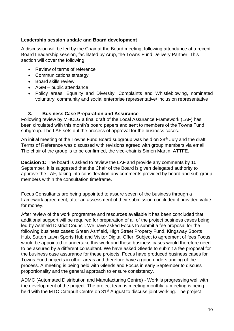# **Leadership session update and Board development**

A discussion will be led by the Chair at the Board meeting, following attendance at a recent Board Leadership session, facilitated by Arup, the Towns Fund Delivery Partner. This section will cover the following:

- Review of terms of reference
- Communications strategy
- Board skills review
- AGM public attendance
- Policy areas: Equality and Diversity, Complaints and Whistleblowing, nominated voluntary, community and social enterprise representative/ inclusion representative

# **3. Business Case Preparation and Assurance**

Following review by MHCLG a final draft of the Local Assurance Framework (LAF) has been circulated with this month's board papers and sent to members of the Towns Fund subgroup. The LAF sets out the process of approval for the business cases.

An initial meeting of the Towns Fund Board subgroup was held on 28<sup>th</sup> July and the draft Terms of Reference was discussed with revisions agreed with group members via email. The chair of the group is to be confirmed, the vice-chair is Simon Martin, ATTFE.

**Decision 1:** The board is asked to review the LAF and provide any comments by 10<sup>th</sup> September. It is suggested that the Chair of the Board is given delegated authority to approve the LAF, taking into consideration any comments provided by board and sub-group members within the consultation timeframe.

Focus Consultants are being appointed to assure seven of the business through a framework agreement, after an assessment of their submission concluded it provided value for money.

After review of the work programme and resources available it has been concluded that additional support will be required for preparation of all of the project business cases being led by Ashfield District Council. We have asked Focus to submit a fee proposal for the following business cases: Green Ashfield, High Street Property Fund, Kingsway Sports Hub, Sutton Lawn Sports Hub and Visitor Digital Offer. Subject to agreement of fees Focus would be appointed to undertake this work and these business cases would therefore need to be assured by a different consultant. We have asked Gleeds to submit a fee proposal for the business case assurance for these projects. Focus have produced business cases for Towns Fund projects in other areas and therefore have a good understanding of the process. A meeting is being held with Gleeds and Focus in early September to discuss proportionality and the general approach to ensure consistency.

ADMC (Automated Distribution and Manufacturing Centre) - Work is progressing well with the development of the project. The project team is meeting monthly, a meeting is being held with the MTC Catapult Centre on 31<sup>st</sup> August to discuss joint working. The project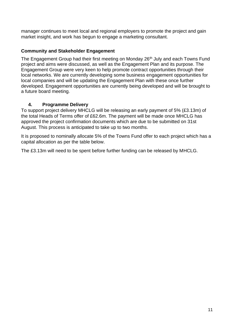manager continues to meet local and regional employers to promote the project and gain market insight, and work has begun to engage a marketing consultant.

# **Community and Stakeholder Engagement**

The Engagement Group had their first meeting on Monday 26<sup>th</sup> July and each Towns Fund project and aims were discussed, as well as the Engagement Plan and its purpose. The Engagement Group were very keen to help promote contract opportunities through their local networks. We are currently developing some business engagement opportunities for local companies and will be updating the Engagement Plan with these once further developed. Engagement opportunities are currently being developed and will be brought to a future board meeting.

# **4. Programme Delivery**

To support project delivery MHCLG will be releasing an early payment of 5% (£3.13m) of the total Heads of Terms offer of £62.6m. The payment will be made once MHCLG has approved the project confirmation documents which are due to be submitted on 31st August. This process is anticipated to take up to two months.

It is proposed to nominally allocate 5% of the Towns Fund offer to each project which has a capital allocation as per the table below.

The £3.13m will need to be spent before further funding can be released by MHCLG.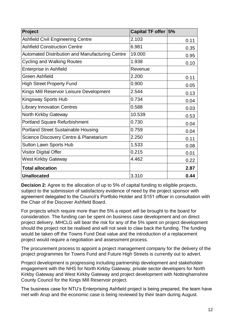| Project                                                | Capital TF offer   5% |      |
|--------------------------------------------------------|-----------------------|------|
| <b>Ashfield Civil Engineering Centre</b>               | 2.103                 | 0.11 |
| <b>Ashfield Construction Centre</b>                    | 6.981                 | 0.35 |
| <b>Automated Distribution and Manufacturing Centre</b> | 19.000                | 0.95 |
| <b>Cycling and Walking Routes</b>                      | 1.938                 | 0.10 |
| <b>Enterprise in Ashfield</b>                          | Revenue               |      |
| <b>Green Ashfield</b>                                  | 2.200                 | 0.11 |
| <b>High Street Property Fund</b>                       | 0.900                 | 0.05 |
| Kings Mill Reservoir Leisure Development               | 2.544                 | 0.13 |
| Kingsway Sports Hub                                    | 0.734                 | 0.04 |
| <b>Library Innovation Centres</b>                      | 0.588                 | 0.03 |
| North Kirkby Gateway                                   | 10.539                | 0.53 |
| <b>Portland Square Refurbishment</b>                   | 0.730                 | 0.04 |
| <b>Portland Street Sustainable Housing</b>             | 0.759                 | 0.04 |
| Science Discovery Centre & Planetarium                 | 2.250                 | 0.11 |
| <b>Sutton Lawn Sports Hub</b>                          | 1.533                 | 0.08 |
| Visitor Digital Offer                                  | 0.215                 | 0.01 |
| <b>West Kirkby Gateway</b>                             | 4.462                 | 0.22 |
| <b>Total allocation</b>                                |                       | 2.87 |
| <b>Unallocated</b>                                     | 3.310                 | 0.44 |

**Decision 2:** Agree to the allocation of up to 5% of capital funding to eligible projects, subject to the submission of satisfactory evidence of need by the project sponsor with agreement delegated to the Council's Portfolio Holder and S151 officer in consultation with the Chair of the Discover Ashfield Board.

For projects which require more than the 5% a report will be brought to the board for consideration. The funding can be spent on business case development and on direct project delivery. MHCLG will bear the risk for any of the 5% spent on project development should the project not be realised and will not seek to claw back the funding. The funding would be taken off the Towns Fund Deal value and the introduction of a replacement project would require a negotiation and assessment process.

The procurement process to appoint a project management company for the delivery of the project programmes for Towns Fund and Future High Streets is currently out to advert.

Project development is progressing including partnership development and stakeholder engagement with the NHS for North Kirkby Gateway, private sector developers for North Kirkby Gateway and West Kirkby Gateway and project development with Nottinghamshire County Council for the Kings Mill Reservoir project.

The business case for NTU's Enterprising Ashfield project is being prepared, the team have met with Arup and the economic case is being reviewed by their team during August.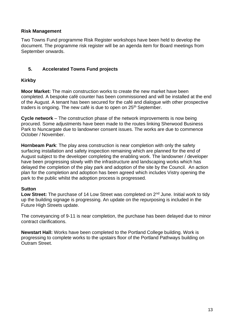# **Risk Management**

Two Towns Fund programme Risk Register workshops have been held to develop the document. The programme risk register will be an agenda item for Board meetings from September onwards.

# **5. Accelerated Towns Fund projects**

# **Kirkby**

**Moor Market:** The main construction works to create the new market have been completed. A bespoke café counter has been commissioned and will be installed at the end of the August. A tenant has been secured for the café and dialogue with other prospective traders is ongoing. The new café is due to open on 25<sup>th</sup> September.

**Cycle network** – The construction phase of the network improvements is now being procured. Some adjustments have been made to the routes linking Sherwood Business Park to Nuncargate due to landowner consent issues. The works are due to commence October / November.

**Hornbeam Park**: The play area construction is near completion with only the safety surfacing installation and safety inspection remaining which are planned for the end of August subject to the developer completing the enabling work. The landowner / developer have been progressing slowly with the infrastructure and landscaping works which has delayed the completion of the play park and adoption of the site by the Council. An action plan for the completion and adoption has been agreed which includes Vistry opening the park to the public whilst the adoption process is progressed.

# **Sutton**

Low Street: The purchase of 14 Low Street was completed on 2<sup>nd</sup> June. Initial work to tidy up the building signage is progressing. An update on the repurposing is included in the Future High Streets update.

The conveyancing of 9-11 is near completion, the purchase has been delayed due to minor contract clarifications.

**Newstart Hall:** Works have been completed to the Portland College building. Work is progressing to complete works to the upstairs floor of the Portland Pathways building on Outram Street.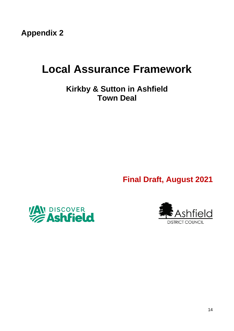**Appendix 2**

# **Local Assurance Framework**

**Kirkby & Sutton in Ashfield Town Deal**

**Final Draft, August 2021**



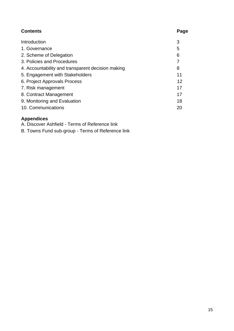| <b>Contents</b>                                   | Page |
|---------------------------------------------------|------|
| Introduction                                      | 3    |
| 1. Governance                                     | 5    |
| 2. Scheme of Delegation                           | 6    |
| 3. Policies and Procedures                        | 7    |
| 4. Accountability and transparent decision making | 8    |
| 5. Engagement with Stakeholders                   | 11   |
| 6. Project Approvals Process                      | 12   |
| 7. Risk management                                | 17   |
| 8. Contract Management                            | 17   |
| 9. Monitoring and Evaluation                      | 18   |
| 10. Communications                                | 20   |

# **Appendices**

A. Discover Ashfield - Terms of Reference link

B. Towns Fund sub-group - Terms of Reference link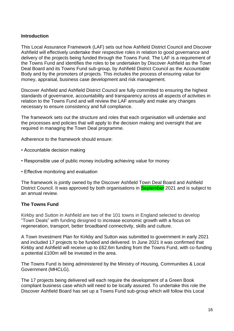# **Introduction**

This Local Assurance Framework (LAF) sets out how Ashfield District Council and Discover Ashfield will effectively undertake their respective roles in relation to good governance and delivery of the projects being funded through the Towns Fund. The LAF is a requirement of the Towns Fund and identifies the roles to be undertaken by Discover Ashfield as the Town Deal Board and its Towns Fund sub-group, by Ashfield District Council as the Accountable Body and by the promoters of projects. This includes the process of ensuring value for money, appraisal, business case development and risk management.

Discover Ashfield and Ashfield District Council are fully committed to ensuring the highest standards of governance, accountability and transparency across all aspects of activities in relation to the Towns Fund and will review the LAF annually and make any changes necessary to ensure consistency and full compliance.

The framework sets out the structure and roles that each organisation will undertake and the processes and policies that will apply to the decision making and oversight that are required in managing the Town Deal programme.

Adherence to the framework should ensure:

- Accountable decision making
- Responsible use of public money including achieving value for money
- Effective monitoring and evaluation

The framework is jointly owned by the Discover Ashfield Town Deal Board and Ashfield District Council. It was approved by both organisations in **September** 2021 and is subject to an annual review.

# **The Towns Fund**

Kirkby and Sutton in Ashfield are two of the 101 towns in England selected to develop "Town Deals" with funding designed to increase economic growth with a focus on regeneration, transport, better broadband connectivity, skills and culture.

A Town Investment Plan for Kirkby and Sutton was submitted to government in early 2021 and included 17 projects to be funded and delivered. In June 2021 it was confirmed that Kirkby and Ashfield will receive up to £62.6m funding from the Towns Fund, with co-funding a potential £100m will be invested in the area.

The Towns Fund is being administered by the Ministry of Housing, Communities & Local Government (MHCLG).

The 17 projects being delivered will each require the development of a Green Book compliant business case which will need to be locally assured. To undertake this role the Discover Ashfield Board has set up a Towns Fund sub-group which will follow this Local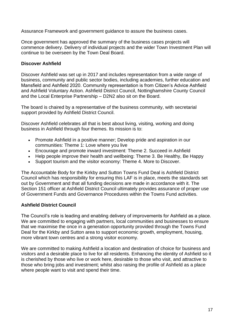Assurance Framework and government guidance to assure the business cases.

Once government has approved the summary of the business cases projects will commence delivery. Delivery of individual projects and the wider Town Investment Plan will continue to be overseen by the Town Deal Board.

# **Discover Ashfield**

Discover Ashfield was set up in 2017 and includes representation from a wide range of business, community and public sector bodies, including academies, further education and Mansfield and Ashfield 2020. Community representation is from Citizen's Advice Ashfield and Ashfield Voluntary Action. Ashfield District Council, Nottinghamshire County Council and the Local Enterprise Partnership – D2N2 also sit on the Board.

The board is chaired by a representative of the business community, with secretarial support provided by Ashfield District Council.

Discover Ashfield celebrates all that is best about living, visiting, working and doing business in Ashfield through four themes. Its mission is to:

- Promote Ashfield in a positive manner; Develop pride and aspiration in our communities: Theme 1: Love where you live
- Encourage and promote inward investment: Theme 2. Succeed in Ashfield
- Help people improve their health and wellbeing: Theme 3. Be Healthy, Be Happy
- Support tourism and the visitor economy: Theme 4. More to Discover.

The Accountable Body for the Kirkby and Sutton Towns Fund Deal is Ashfield District Council which has responsibility for ensuring this LAF is in place, meets the standards set out by Government and that all funding decisions are made in accordance with it. The Section 151 officer at Ashfield District Council ultimately provides assurance of proper use of Government Funds and Governance Procedures within the Towns Fund activities.

# **Ashfield District Council**

The Council's role is leading and enabling delivery of improvements for Ashfield as a place. We are committed to engaging with partners, local communities and businesses to ensure that we maximise the once in a generation opportunity provided through the Towns Fund Deal for the Kirkby and Sutton area to support economic growth, employment, housing, more vibrant town centres and a strong visitor economy.

We are committed to making Ashfield a location and destination of choice for business and visitors and a desirable place to live for all residents. Enhancing the identity of Ashfield so it is cherished by those who live or work here, desirable to those who visit, and attractive to those who bring jobs and investment; whilst also raising the profile of Ashfield as a place where people want to visit and spend their time.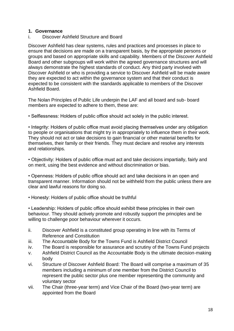#### **1. Governance**

i. Discover Ashfield Structure and Board

Discover Ashfield has clear systems, rules and practices and processes in place to ensure that decisions are made on a transparent basis, by the appropriate persons or groups and based on appropriate skills and capability. Members of the Discover Ashfield Board and other subgroups will work within the agreed governance structures and will always demonstrate the highest standards of conduct. Any third party involved with Discover Ashfield or who is providing a service to Discover Ashfield will be made aware they are expected to act within the governance system and that their conduct is expected to be consistent with the standards applicable to members of the Discover Ashfield Board.

The Nolan Principles of Public Life underpin the LAF and all board and sub- board members are expected to adhere to them, these are:

• Selflessness: Holders of public office should act solely in the public interest.

• Integrity: Holders of public office must avoid placing themselves under any obligation to people or organisations that might try in appropriately to influence them in their work. They should not act or take decisions to gain financial or other material benefits for themselves, their family or their friends. They must declare and resolve any interests and relationships.

• Objectivity: Holders of public office must act and take decisions impartially, fairly and on merit, using the best evidence and without discrimination or bias.

• Openness: Holders of public office should act and take decisions in an open and transparent manner. Information should not be withheld from the public unless there are clear and lawful reasons for doing so.

• Honesty: Holders of public office should be truthful

• Leadership: Holders of public office should exhibit these principles in their own behaviour. They should actively promote and robustly support the principles and be willing to challenge poor behaviour wherever it occurs.

- ii. Discover Ashfield is a constituted group operating in line with its Terms of Reference and Constitution
- iii. The Accountable Body for the Towns Fund is Ashfield District Council
- iv. The Board is responsible for assurance and scrutiny of the Towns Fund projects
- v. Ashfield District Council as the Accountable Body is the ultimate decision-making body
- vi. Structure of Discover Ashfield Board: The Board will comprise a maximum of 35 members including a minimum of one member from the District Council to represent the public sector plus one member representing the community and voluntary sector
- vii. The Chair (three-year term) and Vice Chair of the Board (two-year term) are appointed from the Board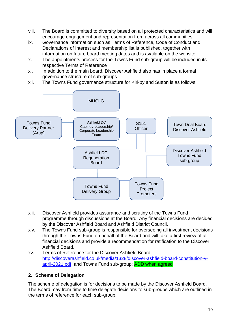- viii. The Board is committed to diversity based on all protected characteristics and will encourage engagement and representation from across all communities
- ix. Governance information such as Terms of Reference, Code of Conduct and Declarations of Interest and membership list is published, together with information on future board meeting dates and is available on the website.
- x. The appointments process for the Towns Fund sub-group will be included in its respective Terms of Reference
- xi. In addition to the main board, Discover Ashfield also has in place a formal governance structure of sub-groups
- xii. The Towns Fund governance structure for Kirkby and Sutton is as follows:



- xiii. Discover Ashfield provides assurance and scrutiny of the Towns Fund programme through discussions at the Board. Any financial decisions are decided by the Discover Ashfield Board and Ashfield District Council.
- xiv. The Towns Fund sub-group is responsible for overseeing all investment decisions through the Towns Fund on behalf of the Board and will take a first review of all financial decisions and provide a recommendation for ratification to the Discover Ashfield Board.
- xv. Terms of Reference for the Discover Ashfield Board: [http://discoverashfield.co.uk/media/1328/discover-ashfield-board-constitution-v](http://discoverashfield.co.uk/media/1328/discover-ashfield-board-constitution-v-april-2021.pdf)[april-2021.pdf](http://discoverashfield.co.uk/media/1328/discover-ashfield-board-constitution-v-april-2021.pdf) and Towns Fund sub-group: ADD when agreed

# **2. Scheme of Delegation**

The scheme of delegation is for decisions to be made by the Discover Ashfield Board. The Board may from time to time delegate decisions to sub-groups which are outlined in the terms of reference for each sub-group.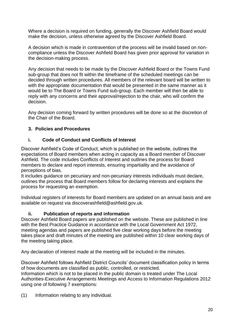Where a decision is required on funding, generally the Discover Ashfield Board would make the decision, unless otherwise agreed by the Discover Ashfield Board.

A decision which is made in contravention of the process will be invalid based on noncompliance unless the Discover Ashfield Board has given prior approval for variation in the decision-making process.

Any decision that needs to be made by the Discover Ashfield Board or the Towns Fund sub-group that does not fit within the timeframe of the scheduled meetings can be decided through written procedures. All members of the relevant board will be written to with the appropriate documentation that would be presented in the same manner as it would be to The Board or Towns Fund sub-group. Each member will then be able to reply with any concerns and their approval/rejection to the chair, who will confirm the decision.

Any decision coming forward by written procedures will be done so at the discretion of the Chair of the Board.

# **3. Policies and Procedures**

# **i. Code of Conduct and Conflicts of Interest**

Discover Ashfield's Code of Conduct, which is published on the website, outlines the expectations of Board members when acting in capacity as a Board member of Discover Ashfield. The code includes Conflicts of Interest and outlines the process for Board members to declare and report interests, ensuring impartiality and the avoidance of perceptions of bias.

It includes guidance on pecuniary and non-pecuniary interests individuals must declare, outlines the process that Board members follow for declaring interests and explains the process for requesting an exemption.

Individual registers of interests for Board members are updated on an annual basis and are available on request via discoverashfield@ashfield.gov.uk.

# **ii. Publication of reports and information**

Discover Ashfield Board papers are published on the website. These are published in line with the Best Practice Guidance in accordance with the Local Government Act 1972, meeting agendas and papers are published five clear working days before the meeting takes place and draft minutes of the meeting are published within 10 clear working days of the meeting taking place.

Any declaration of interest made at the meeting will be included in the minutes.

Discover Ashfield follows Ashfield District Councils' document classification policy in terms of how documents are classified as public, controlled, or restricted. Information which is not to be placed in the public domain is treated under The Local Authorities-Executive Arrangements Meetings and Access to Information Regulations 2012 using one of following 7 exemptions:

(1) Information relating to any individual.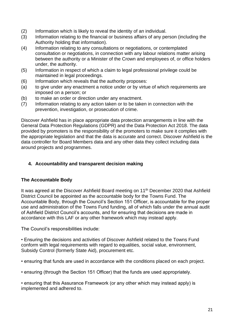- (2) Information which is likely to reveal the identity of an individual.
- (3) Information relating to the financial or business affairs of any person (including the Authority holding that information).
- (4) Information relating to any consultations or negotiations, or contemplated consultation or negotiations, in connection with any labour relations matter arising between the authority or a Minister of the Crown and employees of, or office holders under, the authority.
- (5) Information in respect of which a claim to legal professional privilege could be maintained in legal proceedings.
- (6) Information which reveals that the authority proposes:
- (a) to give under any enactment a notice under or by virtue of which requirements are imposed on a person; or
- (b) to make an order or direction under any enactment.
- (7) Information relating to any action taken or to be taken in connection with the prevention, investigation, or prosecution of crime.

Discover Ashfield has in place appropriate data protection arrangements in line with the General Data Protection Regulations (GDPR) and the Data Protection Act 2018. The data provided by promoters is the responsibility of the promoters to make sure it complies with the appropriate legislation and that the data is accurate and correct. Discover Ashfield is the data controller for Board Members data and any other data they collect including data around projects and programmes.

# **4. Accountability and transparent decision making**

# **The Accountable Body**

It was agreed at the Discover Ashfield Board meeting on 11<sup>th</sup> December 2020 that Ashfield District Council be appointed as the accountable body for the Towns Fund. The Accountable Body, through the Council's Section 151 Officer, is accountable for the proper use and administration of the Towns Fund funding, all of which falls under the annual audit of Ashfield District Council's accounts, and for ensuring that decisions are made in accordance with this LAF or any other framework which may instead apply.

The Council's responsibilities include:

• Ensuring the decisions and activities of Discover Ashfield related to the Towns Fund conform with legal requirements with regard to equalities, social value, environment, Subsidy Control (formerly State Aid), procurement etc.

• ensuring that funds are used in accordance with the conditions placed on each project.

• ensuring (through the Section 151 Officer) that the funds are used appropriately.

• ensuring that this Assurance Framework (or any other which may instead apply) is implemented and adhered to.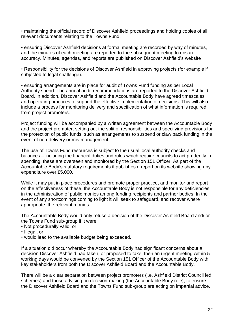• maintaining the official record of Discover Ashfield proceedings and holding copies of all relevant documents relating to the Towns Fund.

• ensuring Discover Ashfield decisions at formal meeting are recorded by way of minutes, and the minutes of each meeting are reported to the subsequent meeting to ensure accuracy. Minutes, agendas, and reports are published on Discover Ashfield's website

• Responsibility for the decisions of Discover Ashfield in approving projects (for example if subjected to legal challenge).

• ensuring arrangements are in place for audit of Towns Fund funding as per Local Authority spend. The annual audit recommendations are reported to the Discover Ashfield Board. In addition, Discover Ashfield and the Accountable Body have agreed timescales and operating practices to support the effective implementation of decisions. This will also include a process for monitoring delivery and specification of what information is required from project promoters.

Project funding will be accompanied by a written agreement between the Accountable Body and the project promoter, setting out the split of responsibilities and specifying provisions for the protection of public funds, such as arrangements to suspend or claw back funding in the event of non-delivery or mis-management.

The use of Towns Fund resources is subject to the usual local authority checks and balances – including the financial duties and rules which require councils to act prudently in spending; these are overseen and monitored by the Section 151 Officer. As part of the Accountable Body's statutory requirements it publishes a report on its website showing any expenditure over £5,000.

While it may put in place procedures and promote proper practice, and monitor and report on the effectiveness of these, the Accountable Body is not responsible for any deficiencies in the administration of public monies among funding recipients and partner bodies. In the event of any shortcomings coming to light it will seek to safeguard, and recover where appropriate, the relevant monies.

The Accountable Body would only refuse a decision of the Discover Ashfield Board and/ or the Towns Fund sub-group if it were:

- Not procedurally valid, or
- Illegal, or
- would lead to the available budget being exceeded.

If a situation did occur whereby the Accountable Body had significant concerns about a decision Discover Ashfield had taken, or proposed to take, then an urgent meeting within 5 working days would be convened by the Section 151 Officer of the Accountable Body with key stakeholders from both the Discover Ashfield Board and the Accountable Body.

There will be a clear separation between project promoters (i.e. Ashfield District Council led schemes) and those advising on decision-making (the Accountable Body role), to ensure the Discover Ashfield Board and the Towns Fund sub-group are acting on impartial advice.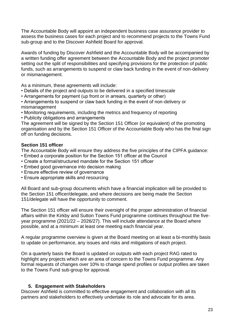The Accountable Body will appoint an independent business case assurance provider to assess the business cases for each project and to recommend projects to the Towns Fund sub-group and to the Discover Ashfield Board for approval.

Awards of funding by Discover Ashfield and the Accountable Body will be accompanied by a written funding offer agreement between the Accountable Body and the project promoter setting out the split of responsibilities and specifying provisions for the protection of public funds, such as arrangements to suspend or claw back funding in the event of non-delivery or mismanagement.

As a minimum, these agreements will include:

- Details of the project and outputs to be delivered in a specified timescale
- Arrangements for payment (up front or in arrears, quarterly or other)
- Arrangements to suspend or claw back funding in the event of non-delivery or mismanagement
- Monitoring requirements, including the metrics and frequency of reporting
- Publicity obligations and arrangements

The agreement will be signed by the Section 151 Officer (or equivalent) of the promoting organisation and by the Section 151 Officer of the Accountable Body who has the final sign off on funding decisions.

#### **Section 151 officer**

The Accountable Body will ensure they address the five principles of the CIPFA guidance:

- Embed a corporate position for the Section 151 officer at the Council
- Create a formal/structured mandate for the Section 151 officer
- Embed good governance into decision making
- Ensure effective review of governance
- Ensure appropriate skills and resourcing

All Board and sub-group documents which have a financial implication will be provided to the Section 151 officer/delegate, and where decisions are being made the Section 151/delegate will have the opportunity to comment.

The Section 151 officer will ensure their oversight of the proper administration of financial affairs within the Kirkby and Sutton Towns Fund programme continues throughout the fiveyear programme (2021/22 – 2026/27). This will include attendance at the Board where possible, and at a minimum at least one meeting each financial year.

A regular programme overview is given at the Board meeting on at least a bi-monthly basis to update on performance, any issues and risks and mitigations of each project.

On a quarterly basis the Board is updated on outputs with each project RAG rated to highlight any projects which are an area of concern to the Towns Fund programme. Any formal requests of changes over 10% to change spend profiles or output profiles are taken to the Towns Fund sub-group for approval.

# **5. Engagement with Stakeholders**

Discover Ashfield is committed to effective engagement and collaboration with all its partners and stakeholders to effectively undertake its role and advocate for its area.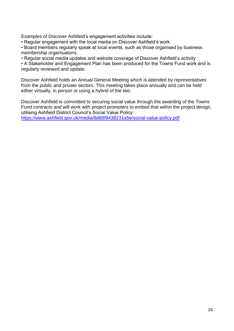Examples of Discover Ashfield's engagement activities include:

• Regular engagement with the local media on Discover Ashfield's work.

• Board members regularly speak at local events, such as those organised by business membership organisations.

• Regular social media updates and website coverage of Discover Ashfield's activity

• A Stakeholder and Engagement Plan has been produced for the Towns Fund work and is regularly reviewed and update.

Discover Ashfield holds an Annual General Meeting which is attended by representatives from the public and private sectors. This meeting takes place annually and can be held either virtually, in person or using a hybrid of the two.

Discover Ashfield is committed to securing social value through the awarding of the Towns Fund contracts and will work with project promoters to embed that within the project design, utilising Ashfield District Council's Social Value Policy: <https://www.ashfield.gov.uk/media/8d88f9438231a5e/social-value-policy.pdf>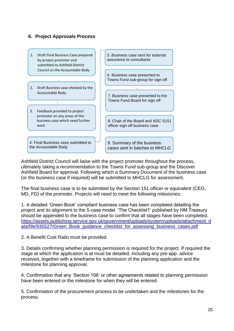

Ashfield District Council will liaise with the project promoter throughout the process, ultimately taking a recommendation to the Towns Fund sub-group and the Discover Ashfield Board for approval. Following which a Summary Document of the business case (or the business case if required) will be submitted to MHCLG for assessment.

The final business case is to be submitted by the Section 151 officer or equivalent (CEO, MD, FD) of the promoter. Projects will need to meet the following milestones:

1. A detailed 'Green Book' compliant business case has been completed detailing the project and its alignment to the 5-case model. 'The Checklist1' published by HM Treasury should be appended to the business case to confirm that all stages have been completed. [https://assets.publishing.service.gov.uk/government/uploads/system/uploads/attachment\\_d](https://assets.publishing.service.gov.uk/government/uploads/system/uploads/attachment_data/file/935527/Green_Book_guidance_checklist_for_assessing_business_cases.pdf) [ata/file/935527/Green\\_Book\\_guidance\\_checklist\\_for\\_assessing\\_business\\_cases.pdf](https://assets.publishing.service.gov.uk/government/uploads/system/uploads/attachment_data/file/935527/Green_Book_guidance_checklist_for_assessing_business_cases.pdf)

# 2. A Benefit Cost Ratio must be provided

3. Details confirming whether planning permission is required for the project. If required the stage at which the application is at must be detailed, including any pre-app. advice received, together with a timeframe for submission of the planning application and the milestone for planning approval.

4. Confirmation that any 'Section 106' or other agreements related to planning permission have been entered or the milestone for when they will be entered.

5. Confirmation of the procurement process to be undertaken and the milestones for the process.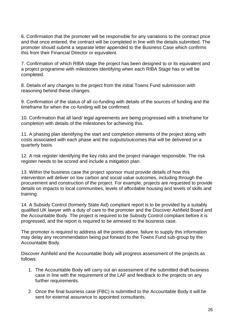6. Confirmation that the promoter will be responsible for any variations to the contract price and that once entered, the contract will be completed in line with the details submitted. The promoter should submit a separate letter appended to the Business Case which confirms this from their Financial Director or equivalent.

7. Confirmation of which RIBA stage the project has been designed to or its equivalent and a project programme with milestones identifying when each RIBA Stage has or will be completed.

8. Details of any changes to the project from the initial Towns Fund submission with reasoning behind these changes.

9. Confirmation of the status of all co-funding with details of the sources of funding and the timeframe for when the co-funding will be confirmed.

10. Confirmation that all land/ legal agreements are being progressed with a timeframe for completion with details of the milestones for achieving this.

11. A phasing plan identifying the start and completion elements of the project along with costs associated with each phase and the outputs/outcomes that will be delivered on a quarterly basis.

12. A risk register identifying the key risks and the project manager responsible. The risk register needs to be scored and include a mitigation plan.

13. Within the business case the project sponsor must provide details of how this intervention will deliver on low carbon and social value outcomes, including through the procurement and construction of the project. For example, projects are requested to provide details on impacts to local communities, levels of affordable housing and levels of skills and training.

14. A Subsidy Control (formerly State Aid) compliant report is to be provided by a suitably qualified UK lawyer with a duty of care to the promoter and the Discover Ashfield Board and the Accountable Body. The project is required to be Subsidy Control compliant before it is progressed, and the report is required to be annexed to the business case.

The promoter is required to address all the points above, failure to supply this information may delay any recommendation being put forward to the Towns Fund sub-group by the Accountable Body.

Discover Ashfield and the Accountable Body will progress assessment of the projects as follows:

- 1. The Accountable Body will carry out an assessment of the submitted draft business case in line with the requirement of the LAF and feedback to the projects on any further requirements.
- 2. Once the final business case (FBC) is submitted to the Accountable Body it will be sent for external assurance to appointed consultants.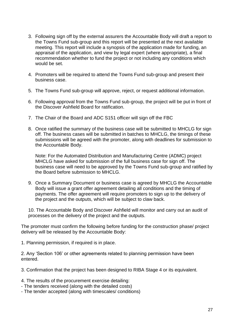- 3. Following sign off by the external assurers the Accountable Body will draft a report to the Towns Fund sub-group and this report will be presented at the next available meeting. This report will include a synopsis of the application made for funding, an appraisal of the application, and view by legal expert (where appropriate), a final recommendation whether to fund the project or not including any conditions which would be set.
- 4. Promoters will be required to attend the Towns Fund sub-group and present their business case.
- 5. The Towns Fund sub-group will approve, reject, or request additional information.
- 6. Following approval from the Towns Fund sub-group, the project will be put in front of the Discover Ashfield Board for ratification.
- 7. The Chair of the Board and ADC S151 officer will sign off the FBC
- 8. Once ratified the summary of the business case will be submitted to MHCLG for sign off. The business cases will be submitted in batches to MHCLG, the timings of these submissions will be agreed with the promoter, along with deadlines for submission to the Accountable Body.

Note: For the Automated Distribution and Manufacturing Centre (ADMC) project MHCLG have asked for submission of the full business case for sign off. The business case will need to be approved by the Towns Fund sub-group and ratified by the Board before submission to MHCLG.

9. Once a Summary Document or business case is agreed by MHCLG the Accountable Body will issue a grant offer agreement detailing all conditions and the timing of payments. The offer agreement will require promoters to sign up to the delivery of the project and the outputs, which will be subject to claw back.

10. The Accountable Body and Discover Ashfield will monitor and carry out an audit of processes on the delivery of the project and the outputs.

The promoter must confirm the following before funding for the construction phase/ project delivery will be released by the Accountable Body:

1. Planning permission, if required is in place.

2. Any 'Section 106' or other agreements related to planning permission have been entered.

3. Confirmation that the project has been designed to RIBA Stage 4 or its equivalent.

- 4. The results of the procurement exercise detailing:
- The tenders received (along with the detailed costs)
- The tender accepted (along with timescales/ conditions)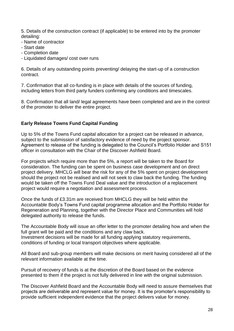5. Details of the construction contract (if applicable) to be entered into by the promoter detailing:

- Name of contractor
- Start date
- Completion date
- Liquidated damages/ cost over runs

6. Details of any outstanding points preventing/ delaying the start-up of a construction contract.

7. Confirmation that all co-funding is in place with details of the sources of funding, including letters from third party funders confirming any conditions and timescales.

8. Confirmation that all land/ legal agreements have been completed and are in the control of the promoter to deliver the entire project.

# **Early Release Towns Fund Capital Funding**

Up to 5% of the Towns Fund capital allocation for a project can be released in advance, subject to the submission of satisfactory evidence of need by the project sponsor. Agreement to release of the funding is delegated to the Council's Portfolio Holder and S151 officer in consultation with the Chair of the Discover Ashfield Board.

For projects which require more than the 5%, a report will be taken to the Board for consideration. The funding can be spent on business case development and on direct project delivery. MHCLG will bear the risk for any of the 5% spent on project development should the project not be realised and will not seek to claw back the funding. The funding would be taken off the Towns Fund Deal value and the introduction of a replacement project would require a negotiation and assessment process.

Once the funds of £3.31m are received from MHCLG they will be held within the Accountable Body's Towns Fund capital programme allocation and the Portfolio Holder for Regeneration and Planning, together with the Director Place and Communities will hold delegated authority to release the funds.

The Accountable Body will issue an offer letter to the promoter detailing how and when the full grant will be paid and the conditions and any claw back. Investment decisions will be made for all funding applying statutory requirements, conditions of funding or local transport objectives where applicable.

All Board and sub-group members will make decisions on merit having considered all of the relevant information available at the time.

Pursuit of recovery of funds is at the discretion of the Board based on the evidence presented to them if the project is not fully delivered in line with the original submission.

The Discover Ashfield Board and the Accountable Body will need to assure themselves that projects are deliverable and represent value for money. It is the promoter's responsibility to provide sufficient independent evidence that the project delivers value for money.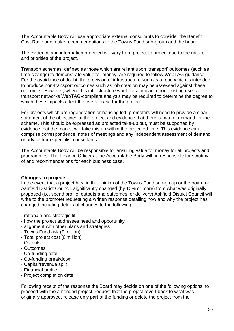The Accountable Body will use appropriate external consultants to consider the Benefit Cost Ratio and make recommendations to the Towns Fund sub-group and the board.

The evidence and information provided will vary from project to project due to the nature and priorities of the project.

Transport schemes, defined as those which are reliant upon 'transport' outcomes (such as time savings) to demonstrate value for money, are required to follow WebTAG guidance. For the avoidance of doubt, the provision of infrastructure such as a road which is intended to produce non-transport outcomes such as job creation may be assessed against these outcomes. However, where this infrastructure would also impact upon existing users of transport networks WebTAG-compliant analysis may be required to determine the degree to which these impacts affect the overall case for the project.

For projects which are regeneration or housing led, promoters will need to provide a clear statement of the objectives of the project and evidence that there is market demand for the scheme. This should be expressed as projected take-up but, must be supported by evidence that the market will take this up within the projected time. This evidence can comprise correspondence, notes of meetings and any independent assessment of demand or advice from specialist consultants.

The Accountable Body will be responsible for ensuring value for money for all projects and programmes. The Finance Officer at the Accountable Body will be responsible for scrutiny of and recommendations for each business case.

#### **Changes to projects**

In the event that a project has, in the opinion of the Towns Fund sub-group or the board or Ashfield District Council, significantly changed (by 10% or more) from what was originally proposed (i.e. spend profile, outputs and outcomes, or delivery) Ashfield District Council will write to the promoter requesting a written response detailing how and why the project has changed including details of changes to the following:

- rationale and strategic fit;
- how the project addresses need and opportunity
- alignment with other plans and strategies
- Towns Fund ask (£ million)
- Total project cost (£ million)
- Outputs
- Outcomes
- Co-funding total
- Co-funding breakdown
- Capital/revenue split
- Financial profile
- Project completion date

Following receipt of the response the Board may decide on one of the following options: to proceed with the amended project, request that the project revert back to what was originally approved, release only part of the funding or delete the project from the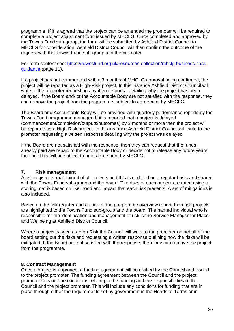programme. If it is agreed that the project can be amended the promoter will be required to complete a project adjustment form issued by MHCLG. Once completed and approved by the Towns Fund sub-group, the form will be submitted by Ashfield District Council to MHCLG for consideration. Ashfield District Council will then confirm the outcome of the request with the Towns Fund sub-group and the promoter.

For form content see: [https://townsfund.org.uk/resources-collection/mhclg-business-case](https://townsfund.org.uk/resources-collection/mhclg-business-case-guidance)[guidance](https://townsfund.org.uk/resources-collection/mhclg-business-case-guidance) (page 11).

If a project has not commenced within 3 months of MHCLG approval being confirmed, the project will be reported as a High-Risk project. In this instance Ashfield District Council will write to the promoter requesting a written response detailing why the project has been delayed. If the Board and/ or the Accountable Body are not satisfied with the response, they can remove the project from the programme, subject to agreement by MHCLG.

The Board and Accountable Body will be provided with quarterly performance reports by the Towns Fund programme manager. If it is reported that a project is delayed (commencement/completion/outputs/outcomes) by 3 months or more then the project will be reported as a High-Risk project. In this instance Ashfield District Council will write to the promoter requesting a written response detailing why the project was delayed.

If the Board are not satisfied with the response, then they can request that the funds already paid are repaid to the Accountable Body or decide not to release any future years funding. This will be subject to prior agreement by MHCLG.

# **7. Risk management**

A risk register is maintained of all projects and this is updated on a regular basis and shared with the Towns Fund sub-group and the board. The risks of each project are rated using a scoring matrix based on likelihood and impact that each risk presents. A set of mitigations is also included.

Based on the risk register and as part of the programme overview report, high risk projects are highlighted to the Towns Fund sub-group and the board. The named individual who is responsible for the identification and management of risk is the Service Manager for Place and Wellbeing at Ashfield District Council.

Where a project is seen as High Risk the Council will write to the promoter on behalf of the board setting out the risks and requesting a written response outlining how the risks will be mitigated. If the Board are not satisfied with the response, then they can remove the project from the programme.

#### **8. Contract Management**

Once a project is approved, a funding agreement will be drafted by the Council and issued to the project promoter. The funding agreement between the Council and the project promoter sets out the conditions relating to the funding and the responsibilities of the Council and the project promoter. This will include any conditions for funding that are in place through either the requirements set by government in the Heads of Terms or in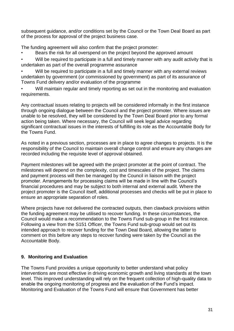subsequent guidance, and/or conditions set by the Council or the Town Deal Board as part of the process for approval of the project business case.

The funding agreement will also confirm that the project promoter:

Bears the risk for all overspend on the project beyond the approved amount

Will be required to participate in a full and timely manner with any audit activity that is undertaken as part of the overall programme assurance

Will be required to participate in a full and timely manner with any external reviews undertaken by government (or commissioned by government) as part of its assurance of Towns Fund delivery and/or evaluation of the programme

Will maintain regular and timely reporting as set out in the monitoring and evaluation requirements.

Any contractual issues relating to projects will be considered informally in the first instance through ongoing dialogue between the Council and the project promoter. Where issues are unable to be resolved, they will be considered by the Town Deal Board prior to any formal action being taken. Where necessary, the Council will seek legal advice regarding significant contractual issues in the interests of fulfilling its role as the Accountable Body for the Towns Fund.

As noted in a previous section, processes are in place to agree changes to projects. It is the responsibility of the Council to maintain overall change control and ensure any changes are recorded including the requisite level of approval obtained.

Payment milestones will be agreed with the project promoter at the point of contract. The milestones will depend on the complexity, cost and timescales of the project. The claims and payment process will then be managed by the Council in liaison with the project promoter. Arrangements for processing claims will be made in line with the Council's financial procedures and may be subject to both internal and external audit. Where the project promoter is the Council itself, additional processes and checks will be put in place to ensure an appropriate separation of roles.

Where projects have not delivered the contracted outputs, then clawback provisions within the funding agreement may be utilised to recover funding. In these circumstances, the Council would make a recommendation to the Towns Fund sub-group in the first instance. Following a view from the S151 Officer, the Towns Fund sub-group would set out its intended approach to recover funding for the Town Deal Board, allowing the latter to comment on this before any steps to recover funding were taken by the Council as the Accountable Body.

# **9. Monitoring and Evaluation**

The Towns Fund provides a unique opportunity to better understand what policy interventions are most effective in driving economic growth and living standards at the town level. This improved understanding will rely on the frequent collection of high-quality data to enable the ongoing monitoring of progress and the evaluation of the Fund's impact. Monitoring and Evaluation of the Towns Fund will ensure that Government has better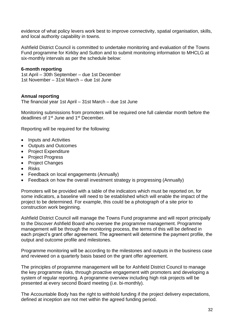evidence of what policy levers work best to improve connectivity, spatial organisation, skills, and local authority capability in towns.

Ashfield District Council is committed to undertake monitoring and evaluation of the Towns Fund programme for Kirkby and Sutton and to submit monitoring information to MHCLG at six-monthly intervals as per the schedule below:

#### **6-month reporting**

1st April – 30th September – due 1st December 1st November – 31st March – due 1st June

#### **Annual reporting**

The financial year 1st April – 31st March – due 1st June

Monitoring submissions from promoters will be required one full calendar month before the deadlines of 1st June and 1st December.

Reporting will be required for the following:

- Inputs and Activities
- Outputs and Outcomes
- Project Expenditure
- Project Progress
- Project Changes
- Risks
- Feedback on local engagements (Annually)
- Feedback on how the overall investment strategy is progressing (Annually)

Promoters will be provided with a table of the indicators which must be reported on, for some indicators, a baseline will need to be established which will enable the impact of the project to be determined. For example, this could be a photograph of a site prior to construction work beginning.

Ashfield District Council will manage the Towns Fund programme and will report principally to the Discover Ashfield Board who oversee the programme management. Programme management will be through the monitoring process, the terms of this will be defined in each project's grant offer agreement. The agreement will determine the payment profile, the output and outcome profile and milestones.

Programme monitoring will be according to the milestones and outputs in the business case and reviewed on a quarterly basis based on the grant offer agreement.

The principles of programme management will be for Ashfield District Council to manage the key programme risks, through proactive engagement with promoters and developing a system of regular reporting. A programme overview including high risk projects will be presented at every second Board meeting (i.e. bi-monthly).

The Accountable Body has the right to withhold funding if the project delivery expectations, defined at inception are not met within the agreed funding period.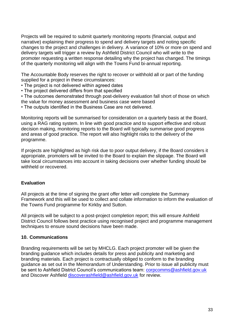Projects will be required to submit quarterly monitoring reports (financial, output and narrative) explaining their progress to spend and delivery targets and noting specific changes to the project and challenges in delivery. A variance of 10% or more on spend and delivery targets will trigger a review by Ashfield District Council who will write to the promoter requesting a written response detailing why the project has changed. The timings of the quarterly monitoring will align with the Towns Fund bi-annual reporting.

The Accountable Body reserves the right to recover or withhold all or part of the funding supplied for a project in these circumstances:

- The project is not delivered within agreed dates
- The project delivered differs from that specified

• The outcomes demonstrated through post-delivery evaluation fall short of those on which the value for money assessment and business case were based

• The outputs identified in the Business Case are not delivered.

Monitoring reports will be summarised for consideration on a quarterly basis at the Board, using a RAG rating system. In line with good practice and to support effective and robust decision making, monitoring reports to the Board will typically summarise good progress and areas of good practice. The report will also highlight risks to the delivery of the programme.

If projects are highlighted as high risk due to poor output delivery, if the Board considers it appropriate, promoters will be invited to the Board to explain the slippage. The Board will take local circumstances into account in taking decisions over whether funding should be withheld or recovered.

# **Evaluation**

All projects at the time of signing the grant offer letter will complete the Summary Framework and this will be used to collect and collate information to inform the evaluation of the Towns Fund programme for Kirkby and Sutton.

All projects will be subject to a post-project completion report; this will ensure Ashfield District Council follows best practice using recognised project and programme management techniques to ensure sound decisions have been made.

# **10. Communications**

Branding requirements will be set by MHCLG. Each project promoter will be given the branding guidance which includes details for press and publicity and marketing and branding materials. Each project is contractually obliged to conform to the branding guidance as set out in the Memorandum of Understanding. Prior to issue all publicity must be sent to Ashfield District Council's communications team: [corpcomms@ashfield.gov.uk](mailto:corpcomms@ashfield.gov.uk) and Discover Ashfield [discoverashfield@ashfield.gov.uk](mailto:discoverashfield@ashfield.gov.uk) for review.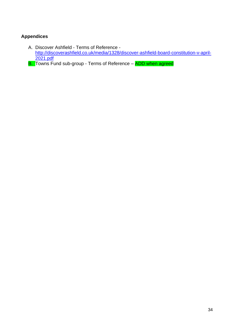# **Appendices**

- A. Discover Ashfield Terms of Reference [http://discoverashfield.co.uk/media/1328/discover-ashfield-board-constitution-v-april-](http://discoverashfield.co.uk/media/1328/discover-ashfield-board-constitution-v-april-2021.pdf)[2021.pdf](http://discoverashfield.co.uk/media/1328/discover-ashfield-board-constitution-v-april-2021.pdf)
- **B.** Towns Fund sub-group Terms of Reference ADD when agreed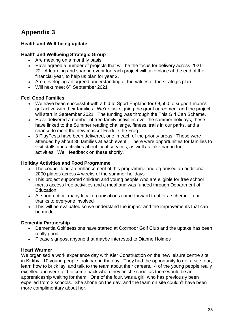# **Appendix 3**

# **Health and Well-being update**

#### **Health and Wellbeing Strategic Group**

- Are meeting on a monthly basis
- Have agreed a number of projects that will be the focus for delivery across 2021- 22. A learning and sharing event for each project will take place at the end of the financial year, to help us plan for year 2.
- Are developing an agreed understanding of the values of the strategic plan
- Will next meet  $6<sup>th</sup>$  September 2021

#### **Feel Good Families**

- We have been successful with a bid to Sport England for £9,500 to support mum's get active with their families. We're just signing the grant agreement and the project will start in September 2021. The funding was through the This Girl Can Scheme.
- Have delivered a number of free family activities over the summer holidays, these have linked to the Summer reading challenge, fitness, trails in our parks, and a chance to meet the new mascot Freddie the Frog
- 3 PlayFests have been delivered, one in each of the priority areas. These were attended by about 30 families at each event. There were opportunities for families to visit stalls and activities about local services, as well as take part in fun activities. We'll feedback on these shortly.

#### **Holiday Activities and Food Programme**

- The council lead an enhancement of this programme and organised an additional 2000 places across 4 weeks of the summer holidays
- This project supported children and young people who are eligible for free school meals access free activities and a meal and was funded through Department of Education.
- At short notice, many local organisations came forward to offer a scheme our thanks to everyone involved
- This will be evaluated so we understand the impact and the improvements that can be made

# **Dementia Partnership**

- Dementia Golf sessions have started at Coxmoor Golf Club and the uptake has been really good
- Please signpost anyone that maybe interested to Dianne Holmes

#### **Heart Warmer**

We organised a work experience day with Kier Construction on the new leisure centre site in Kirkby. 10 young people took part in the day. They had the opportunity to get a site tour, learn how to brick lay, and talk to the team about their careers. 4 of the young people really excelled and were told to come back when they finish school as there would be an apprenticeship waiting for them. One of the four, was a girl, who has previously been expelled from 2 schools. She shone on the day, and the team on site couldn't have been more complimentary about her.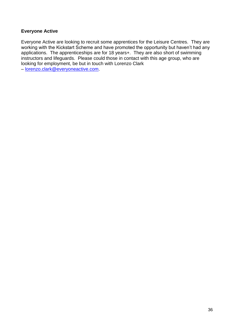# **Everyone Active**

Everyone Active are looking to recruit some apprentices for the Leisure Centres. They are working with the Kickstart Scheme and have promoted the opportunity but haven't had any applications. The apprenticeships are for 18 years+. They are also short of swimming instructors and lifeguards. Please could those in contact with this age group, who are looking for employment, be but in touch with Lorenzo Clark

– [lorenzo.clark@everyoneactive.com.](mailto:lorenzo.clark@everyoneactive.com)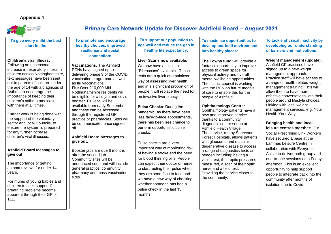# **Appendix 4**



**To support our population to age well and reduce the gap in healthy life expectancy:**

**Liver Scans now available:** We now have access to "Fibroscans" available. These tests are a quick and painless way of assessing liver health and in a significant proportion of people it will replace the need for an invasive liver biopsy.

**Pulse Checks**: During the pandemic, as there have been less face-to-face appointments, there has been less chance to perform opportunistic pulse checks.

Following an unseasonal increase in respiratory illness in children across Nottinghamshire, text messages have been sent out to parents of children under the age of 14 with a diagnosis of Asthma to encourage the importance of keeping their children's asthma medication with them at all times.

> Pulse checks are a very important way of monitoring risk of having a stroke and the need for blood thinning pills. People can expect their doctor or nurse to start feeling their pulse when they are seen face to face and we have a new way of checking whether someone has had a pulse check in the last 13 months.

# **To give every child the best start in life:**

# **Children's viral illness:**

**To maximise opportunities** develop our built environr **into healthy places:**

Further work is being done with the support of the voluntary sector and local Councils, to ensure the system is prepared for any further increase children's viral illnesses.

**The Towns fund: will provide** fantastic opportunity to impi access to green space for physical activity and overall mental wellbeing opportuniti The district council is working with the PCN on future mod of care to enable this for the people of Ashfield.

# **Ashfield Board Messages to give out:**

The importance of getting asthma reviews for under 14 years.

For mums of young babies and children to seek support if breathing problems become apparent through their GP or 111.

# **Primary Care Network Update for Discover Ashfield Board - August 2021**

Ophthalmology patients have new and improved service thanks to a community diagnostic centre set up at Ashfield Health Village. The service, run by Sherwo Forest Hospitals, allows pat with glaucoma and macular degenerative disease to acc a range of diagnostics tests needed including; having a vision test, their optic pressure measured, a scan of their  $\alpha$ nerve and a field test. Providing the service closer the community.

# **The Kackle physical inactivity by eloping our understanding of barriers and motivations:**

**Weight management (update):** field GP practices have ed up to a new weight agement approach. ctice staff will have access to nge of health related weight agement training. This will w them to have more ctive conversations with their pple around lifestyle choices. ing with local weight agement services, e.g. Your alth Your Wav.

**To promote and encourage healthy choices, improved resilience and social connection:**

> **Bringing health and local lure centres together: Our** ial Prescribing Link Workers e secured a base at the lmas Leisure Centre in aboration with Everyone ve to deliver both group and -to-one sessions on a Friday rnoon. This is an excellent ortunity to help support ple to integrate back into the munity after months of ation due to Covid.

**Vaccinations:** The Ashfield PCNs have signed up to delivering phase 3 of the COVID vaccination programme as well as flu vaccinations. **Flu:** Over 210,000 Mid Nottinghamshire residents will be eligible for a flu jab and covid booster. Flu jabs will be available from early September and these can be accessed through the registered GP practice or pharmacies. Sites will be communicated once signed off.

# **Ashfield Board Messages to give out:**

Booster jabs are due 6 months after the second jab. Community sites will be announced soon and will include general practice, community pharmacy and mass vaccination sites. .

# **Ophthalmology Centre:**